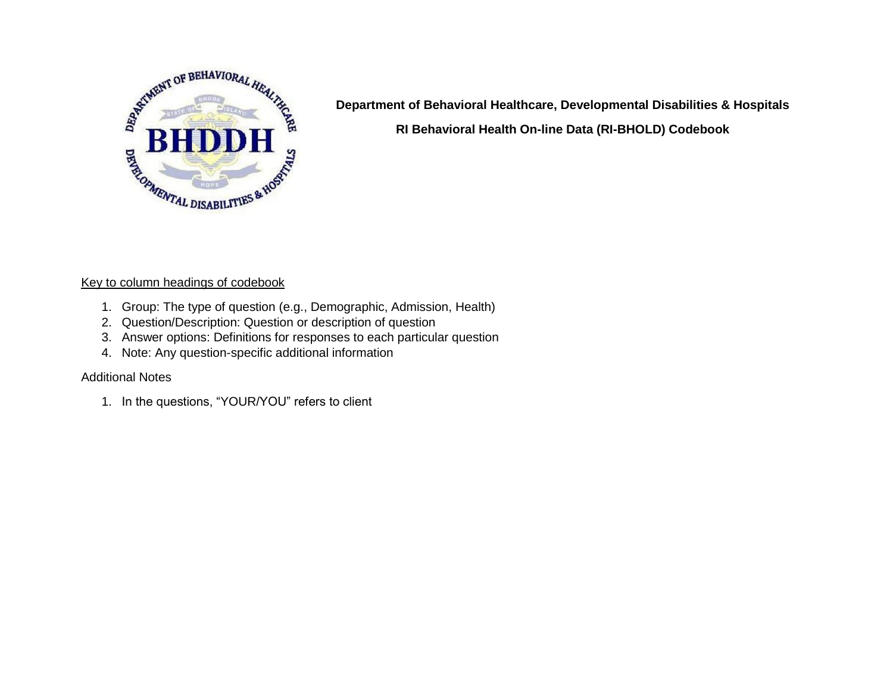

**Department of Behavioral Healthcare, Developmental Disabilities & Hospitals RI Behavioral Health On-line Data (RI-BHOLD) Codebook**

## Key to column headings of codebook

- 1. Group: The type of question (e.g., Demographic, Admission, Health)
- 2. Question/Description: Question or description of question
- 3. Answer options: Definitions for responses to each particular question
- 4. Note: Any question-specific additional information

## Additional Notes

1. In the questions, "YOUR/YOU" refers to client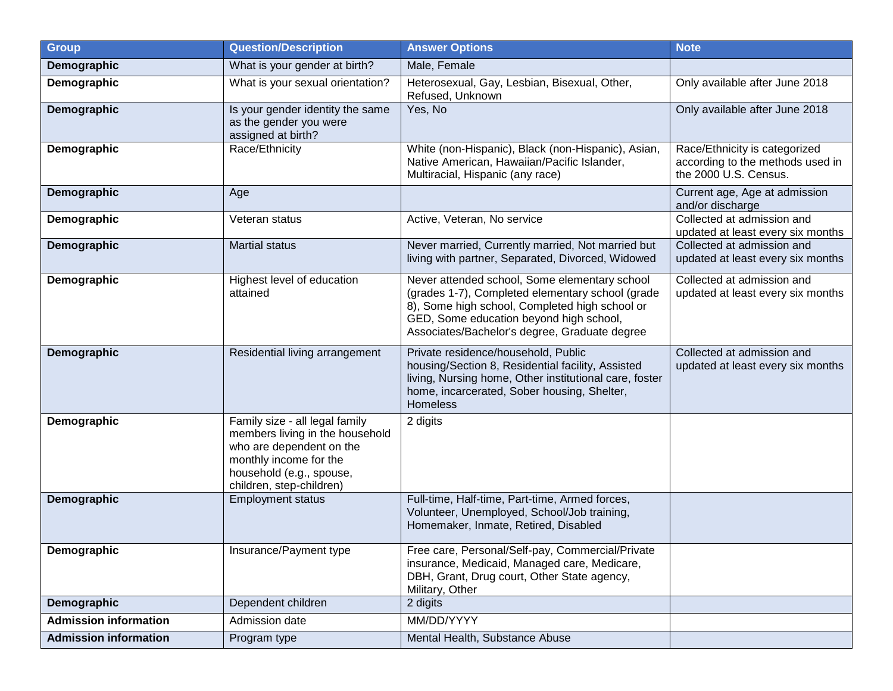| <b>Group</b>                 | <b>Question/Description</b>                                                                                                                                                     | <b>Answer Options</b>                                                                                                                                                                                                                           | <b>Note</b>                                                                                |
|------------------------------|---------------------------------------------------------------------------------------------------------------------------------------------------------------------------------|-------------------------------------------------------------------------------------------------------------------------------------------------------------------------------------------------------------------------------------------------|--------------------------------------------------------------------------------------------|
| Demographic                  | What is your gender at birth?                                                                                                                                                   | Male, Female                                                                                                                                                                                                                                    |                                                                                            |
| Demographic                  | What is your sexual orientation?                                                                                                                                                | Heterosexual, Gay, Lesbian, Bisexual, Other,<br>Refused, Unknown                                                                                                                                                                                | Only available after June 2018                                                             |
| Demographic                  | Is your gender identity the same<br>as the gender you were<br>assigned at birth?                                                                                                | Yes, No                                                                                                                                                                                                                                         | Only available after June 2018                                                             |
| Demographic                  | Race/Ethnicity                                                                                                                                                                  | White (non-Hispanic), Black (non-Hispanic), Asian,<br>Native American, Hawaiian/Pacific Islander,<br>Multiracial, Hispanic (any race)                                                                                                           | Race/Ethnicity is categorized<br>according to the methods used in<br>the 2000 U.S. Census. |
| Demographic                  | Age                                                                                                                                                                             |                                                                                                                                                                                                                                                 | Current age, Age at admission<br>and/or discharge                                          |
| Demographic                  | Veteran status                                                                                                                                                                  | Active, Veteran, No service                                                                                                                                                                                                                     | Collected at admission and<br>updated at least every six months                            |
| Demographic                  | <b>Martial status</b>                                                                                                                                                           | Never married, Currently married, Not married but<br>living with partner, Separated, Divorced, Widowed                                                                                                                                          | Collected at admission and<br>updated at least every six months                            |
| Demographic                  | Highest level of education<br>attained                                                                                                                                          | Never attended school, Some elementary school<br>(grades 1-7), Completed elementary school (grade<br>8), Some high school, Completed high school or<br>GED, Some education beyond high school,<br>Associates/Bachelor's degree, Graduate degree | Collected at admission and<br>updated at least every six months                            |
| Demographic                  | Residential living arrangement                                                                                                                                                  | Private residence/household, Public<br>housing/Section 8, Residential facility, Assisted<br>living, Nursing home, Other institutional care, foster<br>home, incarcerated, Sober housing, Shelter,<br><b>Homeless</b>                            | Collected at admission and<br>updated at least every six months                            |
| Demographic                  | Family size - all legal family<br>members living in the household<br>who are dependent on the<br>monthly income for the<br>household (e.g., spouse,<br>children, step-children) | 2 digits                                                                                                                                                                                                                                        |                                                                                            |
| Demographic                  | <b>Employment status</b>                                                                                                                                                        | Full-time, Half-time, Part-time, Armed forces,<br>Volunteer, Unemployed, School/Job training,<br>Homemaker, Inmate, Retired, Disabled                                                                                                           |                                                                                            |
| Demographic                  | Insurance/Payment type                                                                                                                                                          | Free care, Personal/Self-pay, Commercial/Private<br>insurance, Medicaid, Managed care, Medicare,<br>DBH, Grant, Drug court, Other State agency,<br>Military, Other                                                                              |                                                                                            |
| Demographic                  | Dependent children                                                                                                                                                              | 2 digits                                                                                                                                                                                                                                        |                                                                                            |
| <b>Admission information</b> | Admission date                                                                                                                                                                  | MM/DD/YYYY                                                                                                                                                                                                                                      |                                                                                            |
| <b>Admission information</b> | Program type                                                                                                                                                                    | Mental Health, Substance Abuse                                                                                                                                                                                                                  |                                                                                            |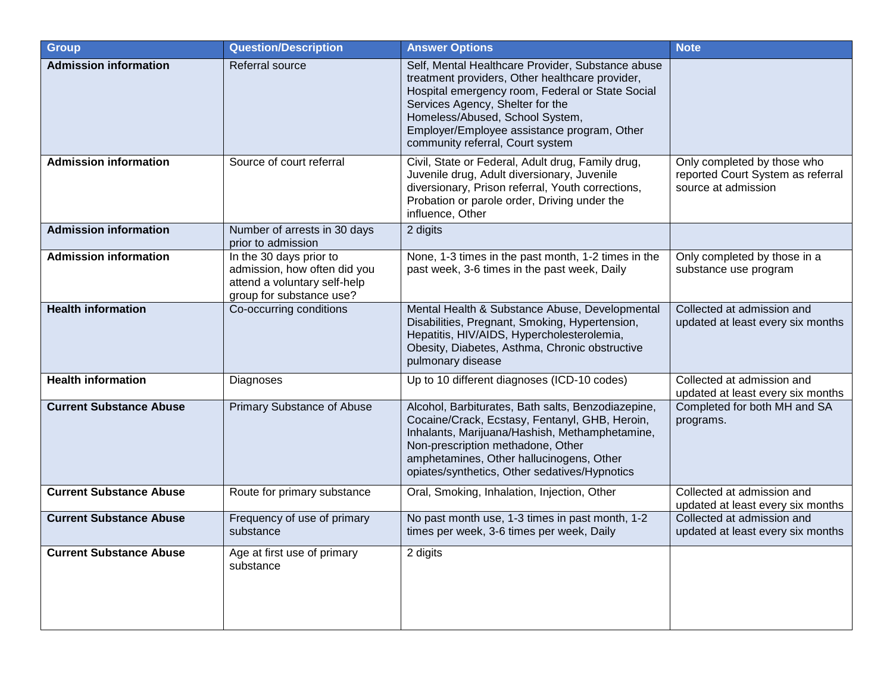| <b>Group</b>                   | <b>Question/Description</b>                                                                                         | <b>Answer Options</b>                                                                                                                                                                                                                                                                                              | <b>Note</b>                                                                             |
|--------------------------------|---------------------------------------------------------------------------------------------------------------------|--------------------------------------------------------------------------------------------------------------------------------------------------------------------------------------------------------------------------------------------------------------------------------------------------------------------|-----------------------------------------------------------------------------------------|
| <b>Admission information</b>   | Referral source                                                                                                     | Self, Mental Healthcare Provider, Substance abuse<br>treatment providers, Other healthcare provider,<br>Hospital emergency room, Federal or State Social<br>Services Agency, Shelter for the<br>Homeless/Abused, School System,<br>Employer/Employee assistance program, Other<br>community referral, Court system |                                                                                         |
| <b>Admission information</b>   | Source of court referral                                                                                            | Civil, State or Federal, Adult drug, Family drug,<br>Juvenile drug, Adult diversionary, Juvenile<br>diversionary, Prison referral, Youth corrections,<br>Probation or parole order, Driving under the<br>influence, Other                                                                                          | Only completed by those who<br>reported Court System as referral<br>source at admission |
| <b>Admission information</b>   | Number of arrests in 30 days<br>prior to admission                                                                  | 2 digits                                                                                                                                                                                                                                                                                                           |                                                                                         |
| <b>Admission information</b>   | In the 30 days prior to<br>admission, how often did you<br>attend a voluntary self-help<br>group for substance use? | None, 1-3 times in the past month, 1-2 times in the<br>past week, 3-6 times in the past week, Daily                                                                                                                                                                                                                | Only completed by those in a<br>substance use program                                   |
| <b>Health information</b>      | Co-occurring conditions                                                                                             | Mental Health & Substance Abuse, Developmental<br>Disabilities, Pregnant, Smoking, Hypertension,<br>Hepatitis, HIV/AIDS, Hypercholesterolemia,<br>Obesity, Diabetes, Asthma, Chronic obstructive<br>pulmonary disease                                                                                              | Collected at admission and<br>updated at least every six months                         |
| <b>Health information</b>      | Diagnoses                                                                                                           | Up to 10 different diagnoses (ICD-10 codes)                                                                                                                                                                                                                                                                        | Collected at admission and<br>updated at least every six months                         |
| <b>Current Substance Abuse</b> | <b>Primary Substance of Abuse</b>                                                                                   | Alcohol, Barbiturates, Bath salts, Benzodiazepine,<br>Cocaine/Crack, Ecstasy, Fentanyl, GHB, Heroin,<br>Inhalants, Marijuana/Hashish, Methamphetamine,<br>Non-prescription methadone, Other<br>amphetamines, Other hallucinogens, Other<br>opiates/synthetics, Other sedatives/Hypnotics                           | Completed for both MH and SA<br>programs.                                               |
| <b>Current Substance Abuse</b> | Route for primary substance                                                                                         | Oral, Smoking, Inhalation, Injection, Other                                                                                                                                                                                                                                                                        | Collected at admission and<br>updated at least every six months                         |
| <b>Current Substance Abuse</b> | Frequency of use of primary<br>substance                                                                            | No past month use, 1-3 times in past month, 1-2<br>times per week, 3-6 times per week, Daily                                                                                                                                                                                                                       | Collected at admission and<br>updated at least every six months                         |
| <b>Current Substance Abuse</b> | Age at first use of primary<br>substance                                                                            | 2 digits                                                                                                                                                                                                                                                                                                           |                                                                                         |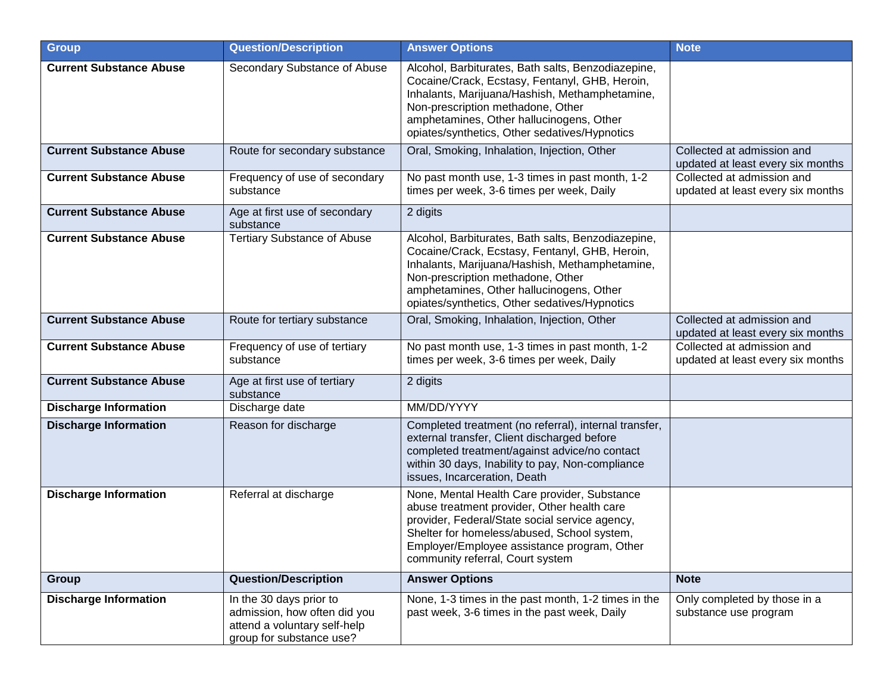| <b>Group</b>                   | <b>Question/Description</b>                                                                                         | <b>Answer Options</b>                                                                                                                                                                                                                                                                    | <b>Note</b>                                                     |
|--------------------------------|---------------------------------------------------------------------------------------------------------------------|------------------------------------------------------------------------------------------------------------------------------------------------------------------------------------------------------------------------------------------------------------------------------------------|-----------------------------------------------------------------|
| <b>Current Substance Abuse</b> | Secondary Substance of Abuse                                                                                        | Alcohol, Barbiturates, Bath salts, Benzodiazepine,<br>Cocaine/Crack, Ecstasy, Fentanyl, GHB, Heroin,<br>Inhalants, Marijuana/Hashish, Methamphetamine,<br>Non-prescription methadone, Other<br>amphetamines, Other hallucinogens, Other<br>opiates/synthetics, Other sedatives/Hypnotics |                                                                 |
| <b>Current Substance Abuse</b> | Route for secondary substance                                                                                       | Oral, Smoking, Inhalation, Injection, Other                                                                                                                                                                                                                                              | Collected at admission and<br>updated at least every six months |
| <b>Current Substance Abuse</b> | Frequency of use of secondary<br>substance                                                                          | No past month use, 1-3 times in past month, 1-2<br>times per week, 3-6 times per week, Daily                                                                                                                                                                                             | Collected at admission and<br>updated at least every six months |
| <b>Current Substance Abuse</b> | Age at first use of secondary<br>substance                                                                          | 2 digits                                                                                                                                                                                                                                                                                 |                                                                 |
| <b>Current Substance Abuse</b> | <b>Tertiary Substance of Abuse</b>                                                                                  | Alcohol, Barbiturates, Bath salts, Benzodiazepine,<br>Cocaine/Crack, Ecstasy, Fentanyl, GHB, Heroin,<br>Inhalants, Marijuana/Hashish, Methamphetamine,<br>Non-prescription methadone, Other<br>amphetamines, Other hallucinogens, Other<br>opiates/synthetics, Other sedatives/Hypnotics |                                                                 |
| <b>Current Substance Abuse</b> | Route for tertiary substance                                                                                        | Oral, Smoking, Inhalation, Injection, Other                                                                                                                                                                                                                                              | Collected at admission and<br>updated at least every six months |
| <b>Current Substance Abuse</b> | Frequency of use of tertiary<br>substance                                                                           | No past month use, 1-3 times in past month, 1-2<br>times per week, 3-6 times per week, Daily                                                                                                                                                                                             | Collected at admission and<br>updated at least every six months |
| <b>Current Substance Abuse</b> | Age at first use of tertiary<br>substance                                                                           | 2 digits                                                                                                                                                                                                                                                                                 |                                                                 |
| <b>Discharge Information</b>   | Discharge date                                                                                                      | MM/DD/YYYY                                                                                                                                                                                                                                                                               |                                                                 |
| <b>Discharge Information</b>   | Reason for discharge                                                                                                | Completed treatment (no referral), internal transfer,<br>external transfer, Client discharged before<br>completed treatment/against advice/no contact<br>within 30 days, Inability to pay, Non-compliance<br>issues, Incarceration, Death                                                |                                                                 |
| <b>Discharge Information</b>   | Referral at discharge                                                                                               | None, Mental Health Care provider, Substance<br>abuse treatment provider, Other health care<br>provider, Federal/State social service agency,<br>Shelter for homeless/abused, School system,<br>Employer/Employee assistance program, Other<br>community referral, Court system          |                                                                 |
| <b>Group</b>                   | <b>Question/Description</b>                                                                                         | <b>Answer Options</b>                                                                                                                                                                                                                                                                    | <b>Note</b>                                                     |
| <b>Discharge Information</b>   | In the 30 days prior to<br>admission, how often did you<br>attend a voluntary self-help<br>group for substance use? | None, 1-3 times in the past month, 1-2 times in the<br>past week, 3-6 times in the past week, Daily                                                                                                                                                                                      | Only completed by those in a<br>substance use program           |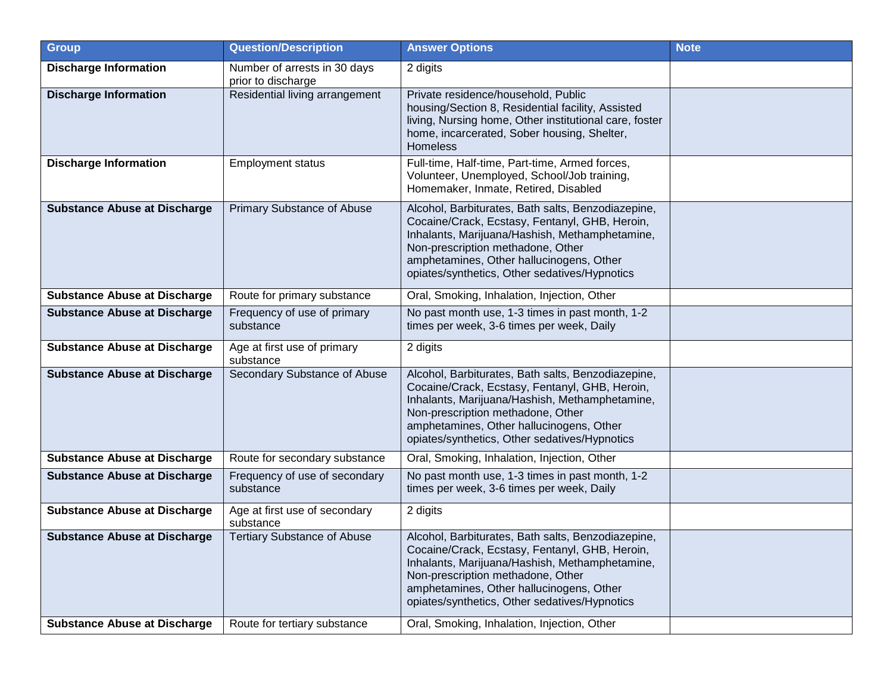| <b>Group</b>                        | <b>Question/Description</b>                        | <b>Answer Options</b>                                                                                                                                                                                                                                                                    | <b>Note</b> |
|-------------------------------------|----------------------------------------------------|------------------------------------------------------------------------------------------------------------------------------------------------------------------------------------------------------------------------------------------------------------------------------------------|-------------|
| <b>Discharge Information</b>        | Number of arrests in 30 days<br>prior to discharge | 2 digits                                                                                                                                                                                                                                                                                 |             |
| <b>Discharge Information</b>        | Residential living arrangement                     | Private residence/household, Public<br>housing/Section 8, Residential facility, Assisted<br>living, Nursing home, Other institutional care, foster<br>home, incarcerated, Sober housing, Shelter,<br><b>Homeless</b>                                                                     |             |
| <b>Discharge Information</b>        | <b>Employment status</b>                           | Full-time, Half-time, Part-time, Armed forces,<br>Volunteer, Unemployed, School/Job training,<br>Homemaker, Inmate, Retired, Disabled                                                                                                                                                    |             |
| <b>Substance Abuse at Discharge</b> | <b>Primary Substance of Abuse</b>                  | Alcohol, Barbiturates, Bath salts, Benzodiazepine,<br>Cocaine/Crack, Ecstasy, Fentanyl, GHB, Heroin,<br>Inhalants, Marijuana/Hashish, Methamphetamine,<br>Non-prescription methadone, Other<br>amphetamines, Other hallucinogens, Other<br>opiates/synthetics, Other sedatives/Hypnotics |             |
| <b>Substance Abuse at Discharge</b> | Route for primary substance                        | Oral, Smoking, Inhalation, Injection, Other                                                                                                                                                                                                                                              |             |
| <b>Substance Abuse at Discharge</b> | Frequency of use of primary<br>substance           | No past month use, 1-3 times in past month, 1-2<br>times per week, 3-6 times per week, Daily                                                                                                                                                                                             |             |
| <b>Substance Abuse at Discharge</b> | Age at first use of primary<br>substance           | 2 digits                                                                                                                                                                                                                                                                                 |             |
| <b>Substance Abuse at Discharge</b> | Secondary Substance of Abuse                       | Alcohol, Barbiturates, Bath salts, Benzodiazepine,<br>Cocaine/Crack, Ecstasy, Fentanyl, GHB, Heroin,<br>Inhalants, Marijuana/Hashish, Methamphetamine,<br>Non-prescription methadone, Other<br>amphetamines, Other hallucinogens, Other<br>opiates/synthetics, Other sedatives/Hypnotics |             |
| <b>Substance Abuse at Discharge</b> | Route for secondary substance                      | Oral, Smoking, Inhalation, Injection, Other                                                                                                                                                                                                                                              |             |
| <b>Substance Abuse at Discharge</b> | Frequency of use of secondary<br>substance         | No past month use, 1-3 times in past month, 1-2<br>times per week, 3-6 times per week, Daily                                                                                                                                                                                             |             |
| <b>Substance Abuse at Discharge</b> | Age at first use of secondary<br>substance         | 2 digits                                                                                                                                                                                                                                                                                 |             |
| <b>Substance Abuse at Discharge</b> | <b>Tertiary Substance of Abuse</b>                 | Alcohol, Barbiturates, Bath salts, Benzodiazepine,<br>Cocaine/Crack, Ecstasy, Fentanyl, GHB, Heroin,<br>Inhalants, Marijuana/Hashish, Methamphetamine,<br>Non-prescription methadone, Other<br>amphetamines, Other hallucinogens, Other<br>opiates/synthetics, Other sedatives/Hypnotics |             |
| <b>Substance Abuse at Discharge</b> | Route for tertiary substance                       | Oral, Smoking, Inhalation, Injection, Other                                                                                                                                                                                                                                              |             |